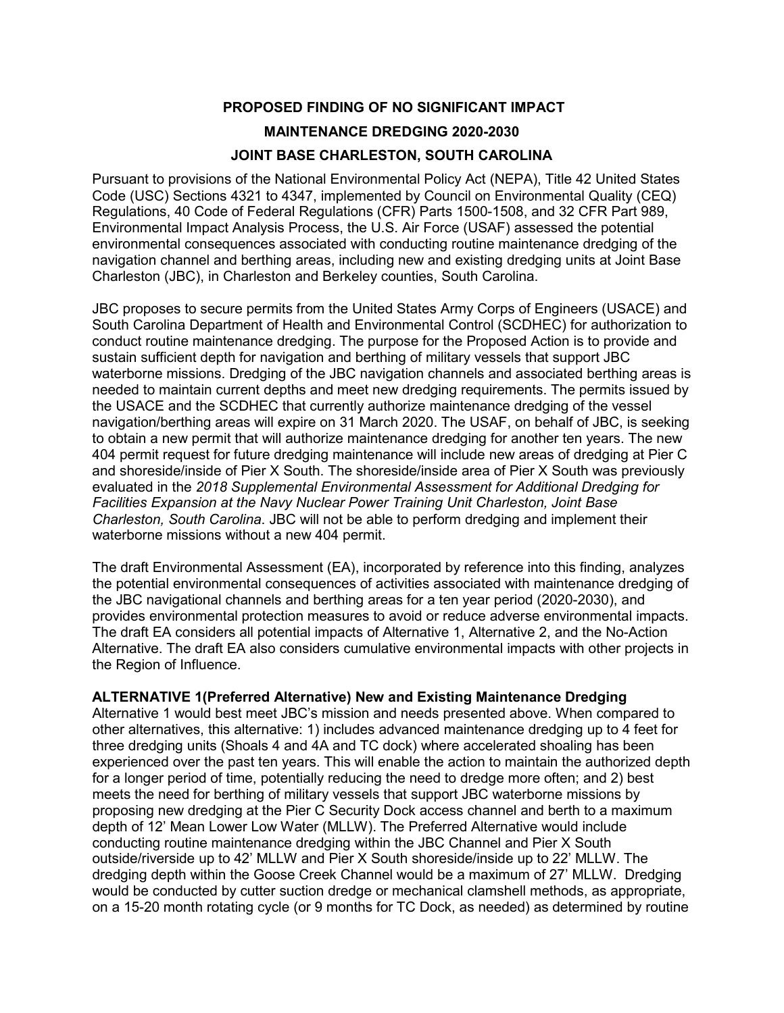# **PROPOSED FINDING OF NO SIGNIFICANT IMPACT MAINTENANCE DREDGING 2020-2030 JOINT BASE CHARLESTON, SOUTH CAROLINA**

Pursuant to provisions of the National Environmental Policy Act (NEPA), Title 42 United States Code (USC) Sections 4321 to 4347, implemented by Council on Environmental Quality (CEQ) Regulations, 40 Code of Federal Regulations (CFR) Parts 1500-1508, and 32 CFR Part 989, Environmental Impact Analysis Process, the U.S. Air Force (USAF) assessed the potential environmental consequences associated with conducting routine maintenance dredging of the navigation channel and berthing areas, including new and existing dredging units at Joint Base Charleston (JBC), in Charleston and Berkeley counties, South Carolina.

JBC proposes to secure permits from the United States Army Corps of Engineers (USACE) and South Carolina Department of Health and Environmental Control (SCDHEC) for authorization to conduct routine maintenance dredging. The purpose for the Proposed Action is to provide and sustain sufficient depth for navigation and berthing of military vessels that support JBC waterborne missions. Dredging of the JBC navigation channels and associated berthing areas is needed to maintain current depths and meet new dredging requirements. The permits issued by the USACE and the SCDHEC that currently authorize maintenance dredging of the vessel navigation/berthing areas will expire on 31 March 2020. The USAF, on behalf of JBC, is seeking to obtain a new permit that will authorize maintenance dredging for another ten years. The new 404 permit request for future dredging maintenance will include new areas of dredging at Pier C and shoreside/inside of Pier X South. The shoreside/inside area of Pier X South was previously evaluated in the *2018 Supplemental Environmental Assessment for Additional Dredging for Facilities Expansion at the Navy Nuclear Power Training Unit Charleston, Joint Base Charleston, South Carolina*. JBC will not be able to perform dredging and implement their waterborne missions without a new 404 permit.

The draft Environmental Assessment (EA), incorporated by reference into this finding, analyzes the potential environmental consequences of activities associated with maintenance dredging of the JBC navigational channels and berthing areas for a ten year period (2020-2030), and provides environmental protection measures to avoid or reduce adverse environmental impacts. The draft EA considers all potential impacts of Alternative 1, Alternative 2, and the No-Action Alternative. The draft EA also considers cumulative environmental impacts with other projects in the Region of Influence.

### **ALTERNATIVE 1(Preferred Alternative) New and Existing Maintenance Dredging**

Alternative 1 would best meet JBC's mission and needs presented above. When compared to other alternatives, this alternative: 1) includes advanced maintenance dredging up to 4 feet for three dredging units (Shoals 4 and 4A and TC dock) where accelerated shoaling has been experienced over the past ten years. This will enable the action to maintain the authorized depth for a longer period of time, potentially reducing the need to dredge more often; and 2) best meets the need for berthing of military vessels that support JBC waterborne missions by proposing new dredging at the Pier C Security Dock access channel and berth to a maximum depth of 12' Mean Lower Low Water (MLLW). The Preferred Alternative would include conducting routine maintenance dredging within the JBC Channel and Pier X South outside/riverside up to 42' MLLW and Pier X South shoreside/inside up to 22' MLLW. The dredging depth within the Goose Creek Channel would be a maximum of 27' MLLW. Dredging would be conducted by cutter suction dredge or mechanical clamshell methods, as appropriate, on a 15-20 month rotating cycle (or 9 months for TC Dock, as needed) as determined by routine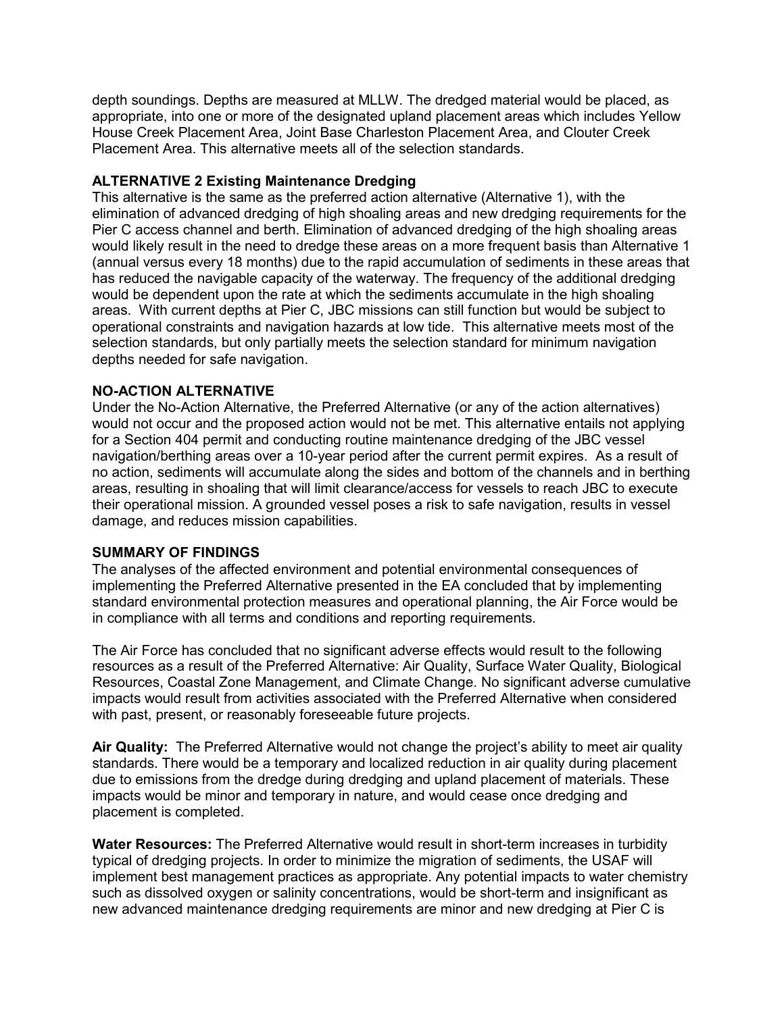depth soundings. Depths are measured at MLLW. The dredged material would be placed, as appropriate, into one or more of the designated upland placement areas which includes Yellow House Creek Placement Area, Joint Base Charleston Placement Area, and Clouter Creek Placement Area. This alternative meets all of the selection standards.

#### **ALTERNATIVE 2 Existing Maintenance Dredging**

This alternative is the same as the preferred action alternative (Alternative 1), with the elimination of advanced dredging of high shoaling areas and new dredging requirements for the Pier C access channel and berth. Elimination of advanced dredging of the high shoaling areas would likely result in the need to dredge these areas on a more frequent basis than Alternative 1 (annual versus every 18 months) due to the rapid accumulation of sediments in these areas that has reduced the navigable capacity of the waterway. The frequency of the additional dredging would be dependent upon the rate at which the sediments accumulate in the high shoaling areas. With current depths at Pier C, JBC missions can still function but would be subject to operational constraints and navigation hazards at low tide. This alternative meets most of the selection standards, but only partially meets the selection standard for minimum navigation depths needed for safe navigation.

#### **NO-ACTION ALTERNATIVE**

Under the No-Action Alternative, the Preferred Alternative (or any of the action alternatives) would not occur and the proposed action would not be met. This alternative entails not applying for a Section 404 permit and conducting routine maintenance dredging of the JBC vessel navigation/berthing areas over a 10-year period after the current permit expires. As a result of no action, sediments will accumulate along the sides and bottom of the channels and in berthing areas, resulting in shoaling that will limit clearance/access for vessels to reach JBC to execute their operational mission. A grounded vessel poses a risk to safe navigation, results in vessel damage, and reduces mission capabilities.

#### **SUMMARY OF FINDINGS**

The analyses of the affected environment and potential environmental consequences of implementing the Preferred Alternative presented in the EA concluded that by implementing standard environmental protection measures and operational planning, the Air Force would be in compliance with all terms and conditions and reporting requirements.

The Air Force has concluded that no significant adverse effects would result to the following resources as a result of the Preferred Alternative: Air Quality, Surface Water Quality, Biological Resources, Coastal Zone Management, and Climate Change. No significant adverse cumulative impacts would result from activities associated with the Preferred Alternative when considered with past, present, or reasonably foreseeable future projects.

**Air Quality:** The Preferred Alternative would not change the project's ability to meet air quality standards. There would be a temporary and localized reduction in air quality during placement due to emissions from the dredge during dredging and upland placement of materials. These impacts would be minor and temporary in nature, and would cease once dredging and placement is completed.

**Water Resources:** The Preferred Alternative would result in short-term increases in turbidity typical of dredging projects. In order to minimize the migration of sediments, the USAF will implement best management practices as appropriate. Any potential impacts to water chemistry such as dissolved oxygen or salinity concentrations, would be short-term and insignificant as new advanced maintenance dredging requirements are minor and new dredging at Pier C is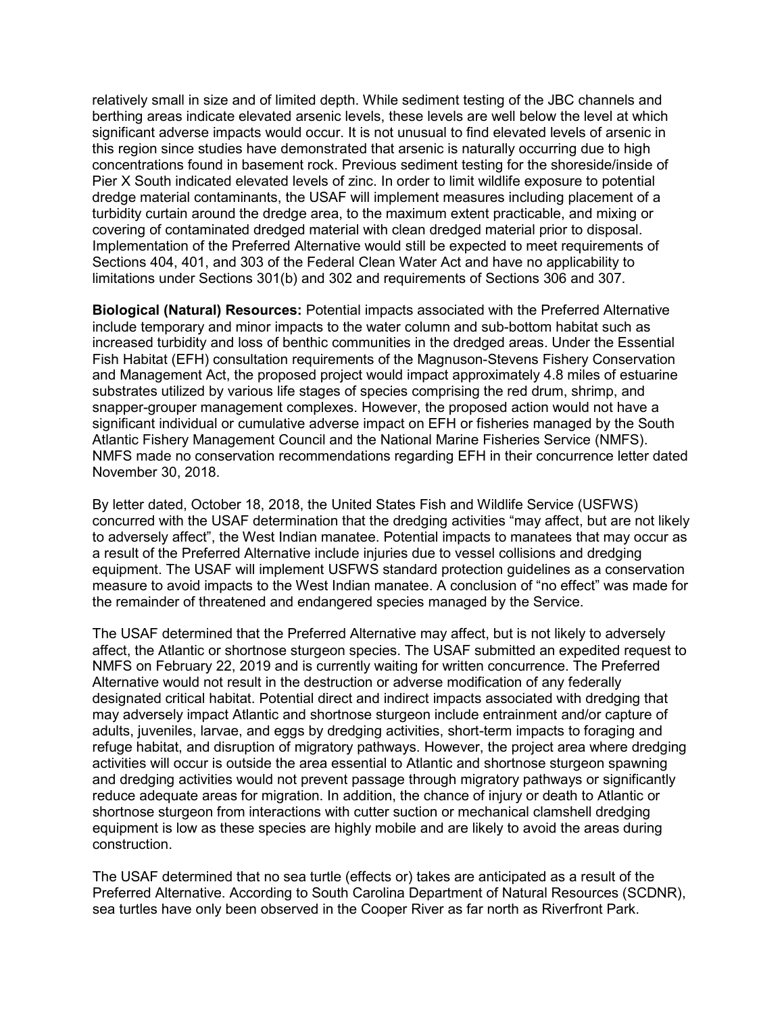relatively small in size and of limited depth. While sediment testing of the JBC channels and berthing areas indicate elevated arsenic levels, these levels are well below the level at which significant adverse impacts would occur. It is not unusual to find elevated levels of arsenic in this region since studies have demonstrated that arsenic is naturally occurring due to high concentrations found in basement rock. Previous sediment testing for the shoreside/inside of Pier X South indicated elevated levels of zinc. In order to limit wildlife exposure to potential dredge material contaminants, the USAF will implement measures including placement of a turbidity curtain around the dredge area, to the maximum extent practicable, and mixing or covering of contaminated dredged material with clean dredged material prior to disposal. Implementation of the Preferred Alternative would still be expected to meet requirements of Sections 404, 401, and 303 of the Federal Clean Water Act and have no applicability to limitations under Sections 301(b) and 302 and requirements of Sections 306 and 307.

**Biological (Natural) Resources:** Potential impacts associated with the Preferred Alternative include temporary and minor impacts to the water column and sub-bottom habitat such as increased turbidity and loss of benthic communities in the dredged areas. Under the Essential Fish Habitat (EFH) consultation requirements of the Magnuson-Stevens Fishery Conservation and Management Act, the proposed project would impact approximately 4.8 miles of estuarine substrates utilized by various life stages of species comprising the red drum, shrimp, and snapper-grouper management complexes. However, the proposed action would not have a significant individual or cumulative adverse impact on EFH or fisheries managed by the South Atlantic Fishery Management Council and the National Marine Fisheries Service (NMFS). NMFS made no conservation recommendations regarding EFH in their concurrence letter dated November 30, 2018.

By letter dated, October 18, 2018, the United States Fish and Wildlife Service (USFWS) concurred with the USAF determination that the dredging activities "may affect, but are not likely to adversely affect", the West Indian manatee. Potential impacts to manatees that may occur as a result of the Preferred Alternative include injuries due to vessel collisions and dredging equipment. The USAF will implement USFWS standard protection guidelines as a conservation measure to avoid impacts to the West Indian manatee. A conclusion of "no effect" was made for the remainder of threatened and endangered species managed by the Service.

The USAF determined that the Preferred Alternative may affect, but is not likely to adversely affect, the Atlantic or shortnose sturgeon species. The USAF submitted an expedited request to NMFS on February 22, 2019 and is currently waiting for written concurrence. The Preferred Alternative would not result in the destruction or adverse modification of any federally designated critical habitat. Potential direct and indirect impacts associated with dredging that may adversely impact Atlantic and shortnose sturgeon include entrainment and/or capture of adults, juveniles, larvae, and eggs by dredging activities, short-term impacts to foraging and refuge habitat, and disruption of migratory pathways. However, the project area where dredging activities will occur is outside the area essential to Atlantic and shortnose sturgeon spawning and dredging activities would not prevent passage through migratory pathways or significantly reduce adequate areas for migration. In addition, the chance of injury or death to Atlantic or shortnose sturgeon from interactions with cutter suction or mechanical clamshell dredging equipment is low as these species are highly mobile and are likely to avoid the areas during construction.

The USAF determined that no sea turtle (effects or) takes are anticipated as a result of the Preferred Alternative. According to South Carolina Department of Natural Resources (SCDNR), sea turtles have only been observed in the Cooper River as far north as Riverfront Park.